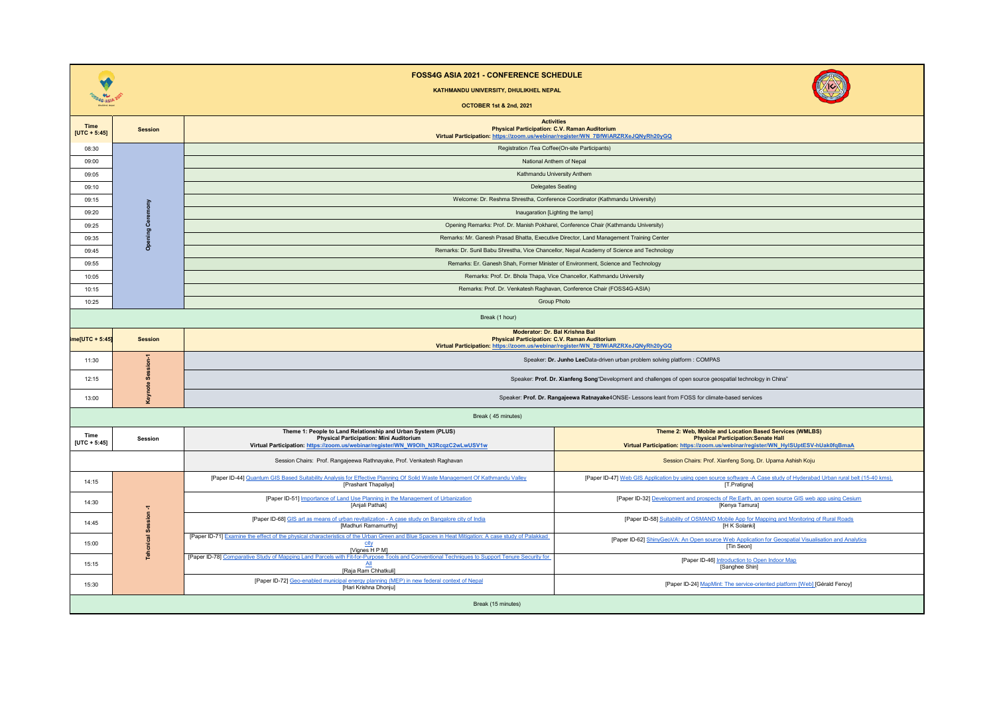|                        |                | <b>FOSS4G ASIA 2021 - CONFERENCE SCHEDULE</b><br>KATHMANDU UNIVERSITY, DHULIKHEL NEPAL<br><b>OCTOBER 1st &amp; 2nd. 2021</b>                                                                 |                                                                                                                                                                                             |  |  |  |  |
|------------------------|----------------|----------------------------------------------------------------------------------------------------------------------------------------------------------------------------------------------|---------------------------------------------------------------------------------------------------------------------------------------------------------------------------------------------|--|--|--|--|
| Time<br>$[UTC + 5:45]$ | <b>Session</b> | <b>Physical Participation: C.V. Raman Auditorium</b><br>Virtual Participation: https://zoom.us/webinar/register/WN 7BfWiARZRXeJQNyRh20yGQ                                                    | <b>Activities</b>                                                                                                                                                                           |  |  |  |  |
| 08:30                  |                | Registration /Tea Coffee(On-site Participants)                                                                                                                                               |                                                                                                                                                                                             |  |  |  |  |
| 09:00                  |                | National Anthem of Nepal                                                                                                                                                                     |                                                                                                                                                                                             |  |  |  |  |
| 09:05                  |                | Kathmandu University Anthem                                                                                                                                                                  |                                                                                                                                                                                             |  |  |  |  |
| 09:10                  |                | <b>Delegates Seating</b>                                                                                                                                                                     |                                                                                                                                                                                             |  |  |  |  |
| 09:15                  |                | Welcome: Dr. Reshma Shrestha, Conference Coordinator (Kathmandu University)                                                                                                                  |                                                                                                                                                                                             |  |  |  |  |
| 09:20                  | Ceremony       | Inaugaration [Lighting the lamp]                                                                                                                                                             |                                                                                                                                                                                             |  |  |  |  |
| 09:25                  | ning           | Opening Remarks: Prof. Dr. Manish Pokharel, Conference Chair (Kathmandu University)                                                                                                          |                                                                                                                                                                                             |  |  |  |  |
| 09:35                  | å              | Remarks: Mr. Ganesh Prasad Bhatta, Executive Director, Land Management Training Center                                                                                                       |                                                                                                                                                                                             |  |  |  |  |
| 09:45<br>09:55         |                | Remarks: Dr. Sunil Babu Shrestha, Vice Chancellor, Nepal Academy of Science and Technology<br>Remarks: Er. Ganesh Shah, Former Minister of Environment, Science and Technology               |                                                                                                                                                                                             |  |  |  |  |
| 10:05                  |                | Remarks: Prof. Dr. Bhola Thapa, Vice Chancellor, Kathmandu University                                                                                                                        |                                                                                                                                                                                             |  |  |  |  |
| 10:15                  |                | Remarks: Prof. Dr. Venkatesh Raghavan, Conference Chair (FOSS4G-ASIA)                                                                                                                        |                                                                                                                                                                                             |  |  |  |  |
| 10:25                  |                | <b>Group Photo</b>                                                                                                                                                                           |                                                                                                                                                                                             |  |  |  |  |
| Break (1 hour)         |                |                                                                                                                                                                                              |                                                                                                                                                                                             |  |  |  |  |
| me[UTC + 5:45]         | <b>Session</b> | Moderator: Dr. Bal Krishna Bal<br><b>Physical Participation: C.V. Raman Auditorium</b><br>Virtual Participation: https://zoom.us/webinar/register/WN 7BfWiARZRXeJQNyRh20yGQ                  |                                                                                                                                                                                             |  |  |  |  |
| 11:30                  |                | Speaker: Dr. Junho LeeData-driven urban problem solving platform : COMPAS                                                                                                                    |                                                                                                                                                                                             |  |  |  |  |
| 12:15                  |                | Speaker: Prof. Dr. Xianfeng Song"Development and challenges of open source geospatial technology in China"                                                                                   |                                                                                                                                                                                             |  |  |  |  |
| 13:00                  | <b>Kevi</b>    |                                                                                                                                                                                              | Speaker: Prof. Dr. Rangajeewa Ratnayake4ONSE- Lessons leant from FOSS for climate-based services                                                                                            |  |  |  |  |
|                        |                | Break (45 minutes)                                                                                                                                                                           |                                                                                                                                                                                             |  |  |  |  |
| Time<br>$[UTC + 5:45]$ | Session        | Theme 1: People to Land Relationship and Urban System (PLUS)<br>Physical Participation: Mini Auditorium<br>Virtual Participation: https://zoom.us/webinar/register/WN_W9Olh_N3RcqzC2wLwUSV1w | Theme 2: Web, Mobile and Location Based Services (WMLBS)<br><b>Physical Participation: Senate Hall</b><br>Virtual Participation: https://zoom.us/webinar/register/WN_HyISUptESV-hUak0fqBmaA |  |  |  |  |
|                        |                | Session Chairs: Prof. Rangajeewa Rathnayake, Prof. Venkatesh Raghavan                                                                                                                        | Session Chairs: Prof. Xianfeng Song, Dr. Upama Ashish Koju                                                                                                                                  |  |  |  |  |
| 14:15                  | ≂              | [Paper ID-44] Quantum GIS Based Suitability Analysis for Effective Planning Of Solid Waste Management Of Kathmandu Valley<br>[Prashant Thapaliya]                                            | [Paper ID-47] Web GIS Application by using open source software -A Case study of Hyderabad Urban rural belt (15-40 kms).<br>[T.Pratigna]                                                    |  |  |  |  |
| 14:30                  |                | [Paper ID-51] Importance of Land Use Planning in the Management of Urbanization<br>[Anjali Pathak]                                                                                           | [Paper ID-32] Development and prospects of Re:Earth, an open source GIS web app using Cesium<br>[Kenya Tamura]                                                                              |  |  |  |  |
| 14:45                  | Session        | [Paper ID-68] GIS art as means of urban revitalization - A case study on Bangalore city of India<br>[Madhuri Ramamurthy]                                                                     | [Paper ID-58] Suitability of OSMAND Mobile App for Mapping and Monitoring of Rural Roads<br>[H K Solanki]                                                                                   |  |  |  |  |
| 15:00                  |                | [Paper ID-71] Examine the effect of the physical characteristics of the Urban Green and Blue Spaces in Heat Mitigation: A case study of Palakkad<br>city<br>[Vignes H P M]                   | [Paper ID-62] ShinyGeoVA: An Open source Web Application for Geospatial Visualisation and Analytics<br>[Tin Seon]                                                                           |  |  |  |  |
| 15:15                  |                | [Paper ID-78] Comparative Study of Mapping Land Parcels with Fit-for-Purpose Tools and Conventional Techniques to Support Tenure Security for<br>All<br>[Raja Ram Chhatkuli]                 | [Paper ID-46] Introduction to Open Indoor Map<br>[Sanghee Shin]                                                                                                                             |  |  |  |  |
| 15:30                  |                | [Paper ID-72] Geo-enabled municipal energy planning (MEP) in new federal context of Nepal<br>[Hari Krishna Dhonju]                                                                           | [Paper ID-24] MapMint: The service-oriented platform [Web] [Gérald Fenoy]                                                                                                                   |  |  |  |  |
| Break (15 minutes)     |                |                                                                                                                                                                                              |                                                                                                                                                                                             |  |  |  |  |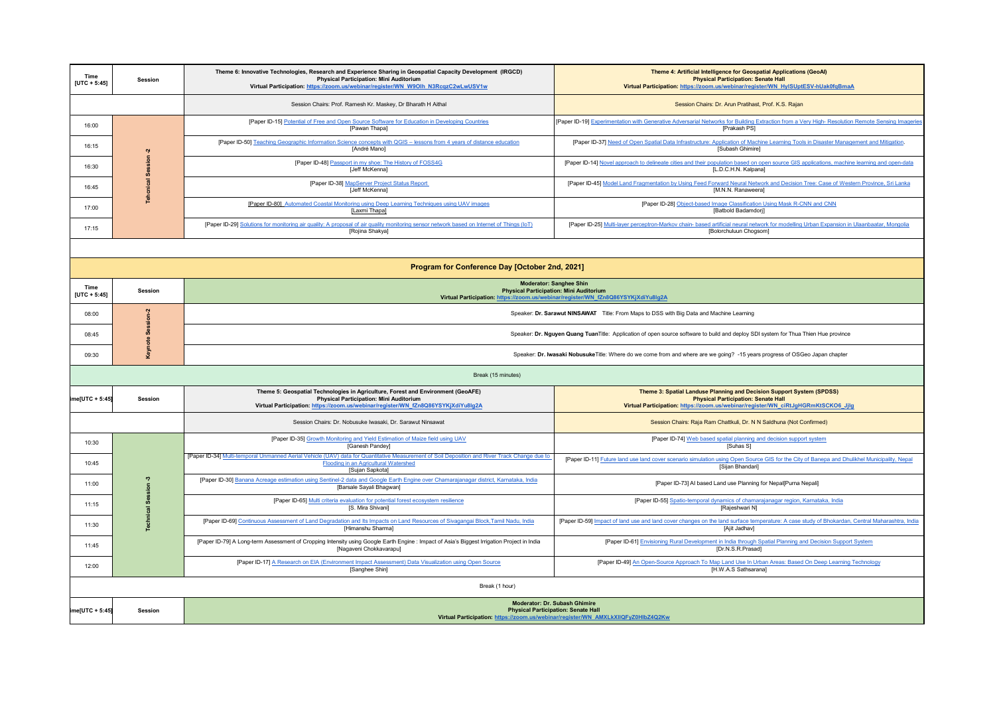| Time<br>$[UTC + 5:45]$ | Session                                                                                                                                                                                   | Theme 6: Innovative Technologies, Research and Experience Sharing in Geospatial Capacity Development (IRGCD)<br><b>Physical Participation: Mini Auditorium</b><br>Virtual Participation: https://zoom.us/webinar/register/WN_W9Olh_N3RcqzC2wLwUSV1w | Theme 4: Artificial Intelligence for Geospatial Applications (GeoAl)<br><b>Physical Participation: Senate Hall</b><br>Virtual Participation: https://zoom.us/webinar/register/WN_HyISUptESV-hUak0fqBmaA  |  |  |  |  |
|------------------------|-------------------------------------------------------------------------------------------------------------------------------------------------------------------------------------------|-----------------------------------------------------------------------------------------------------------------------------------------------------------------------------------------------------------------------------------------------------|----------------------------------------------------------------------------------------------------------------------------------------------------------------------------------------------------------|--|--|--|--|
|                        |                                                                                                                                                                                           | Session Chairs: Prof. Ramesh Kr. Maskey, Dr Bharath H Aithal                                                                                                                                                                                        | Session Chairs: Dr. Arun Pratihast, Prof. K.S. Rajan                                                                                                                                                     |  |  |  |  |
| 16:00                  |                                                                                                                                                                                           | [Paper ID-15] Potential of Free and Open Source Software for Education in Developing Countries<br>[Pawan Thapa]                                                                                                                                     | [Paper ID-19] Experimentation with Generative Adversarial Networks for Building Extraction from a Very High-Resolution Remote Sensing Imagerie<br>[Prakash PS]                                           |  |  |  |  |
| 16:15                  |                                                                                                                                                                                           | [Paper ID-50] Teaching Geographic Information Science concepts with QGIS - lessons from 4 years of distance education<br>[André Mano]                                                                                                               | [Paper ID-37] Need of Open Spatial Data Infrastructure: Application of Machine Learning Tools in Disaster Management and Mitigation<br>[Subash Ghimire]                                                  |  |  |  |  |
| 16:30                  |                                                                                                                                                                                           | [Paper ID-48] Passport in my shoe: The History of FOSS4G<br>[Jeff McKenna]                                                                                                                                                                          | [Paper ID-14] Novel approach to delineate cities and their population based on open source GIS applications, machine learning and open-data<br>[L.D.C.H.N. Kalpana]                                      |  |  |  |  |
| 16:45                  | <b>Tehcnical Session-2</b>                                                                                                                                                                | [Paper ID-38] MapServer Project Status Report<br>[Jeff McKenna]                                                                                                                                                                                     | [Paper ID-45] Model Land Fragmentation by Using Feed Forward Neural Network and Decision Tree: Case of Western Province, Sri Lanka<br>[M.N.N. Ranaweera]                                                 |  |  |  |  |
| 17:00                  |                                                                                                                                                                                           | [Paper ID-80] Automated Coastal Monitoring using Deep Learning Techniques using UAV images<br>[Laxmi Thapa]                                                                                                                                         | [Paper ID-28] Object-based Image Classification Using Mask R-CNN and CNN<br>[Batbold Badamdorj]                                                                                                          |  |  |  |  |
| 17:15                  |                                                                                                                                                                                           | [Paper ID-29] Solutions for monitoring air quality: A proposal of air quality monitoring sensor network based on Internet of Things (IoT)<br>[Rojina Shakya]                                                                                        | [Paper ID-25] Multi-layer perceptron-Markov chain- based artificial neural network for modelling Urban Expansion in Ulaanbaatar, Mongolia<br>[Bolorchuluun Chogsom]                                      |  |  |  |  |
|                        |                                                                                                                                                                                           |                                                                                                                                                                                                                                                     |                                                                                                                                                                                                          |  |  |  |  |
|                        |                                                                                                                                                                                           | Program for Conference Day [October 2nd, 2021]                                                                                                                                                                                                      |                                                                                                                                                                                                          |  |  |  |  |
| Time<br>$[UTC + 5:45]$ | Session                                                                                                                                                                                   | <b>Moderator: Sanghee Shin</b><br><b>Physical Participation: Mini Auditorium</b><br>Virtual Participation: https://zoom.us/webinar/register/WN fZn8Q86YSYKjXdiYu8lg2A                                                                               |                                                                                                                                                                                                          |  |  |  |  |
| 08:00                  | Session-2                                                                                                                                                                                 | Speaker: Dr. Sarawut NINSAWAT Title: From Maps to DSS with Big Data and Machine Learning                                                                                                                                                            |                                                                                                                                                                                                          |  |  |  |  |
| 08:45                  |                                                                                                                                                                                           | Speaker: Dr. Nguyen Quang TuanTitle: Application of open source software to build and deploy SDI system for Thua Thien Hue province                                                                                                                 |                                                                                                                                                                                                          |  |  |  |  |
| 09:30                  | Keynote                                                                                                                                                                                   | Speaker: Dr. Iwasaki NobusukeTitle: Where do we come from and where are we going? -15 years progress of OSGeo Japan chapter                                                                                                                         |                                                                                                                                                                                                          |  |  |  |  |
|                        |                                                                                                                                                                                           | Break (15 minutes)                                                                                                                                                                                                                                  |                                                                                                                                                                                                          |  |  |  |  |
| ime[UTC + 5:45]        | Session                                                                                                                                                                                   | Theme 5: Geospatial Technologies in Agriculture, Forest and Environment (GeoAFE)<br><b>Physical Participation: Mini Auditorium</b><br>Virtual Participation: https://zoom.us/webinar/register/WN fZn8Q86YSYKjXdiYu8lg2A                             | Theme 3: Spatial Landuse Planning and Decision Support System (SPDSS)<br><b>Physical Participation: Senate Hall</b><br>Virtual Participation: https://zoom.us/webinar/register/WN_ciRtJgHGRmKtSCKO6_Jjlg |  |  |  |  |
|                        |                                                                                                                                                                                           | Session Chairs: Dr. Nobusuke Iwasaki, Dr. Sarawut Ninsawat                                                                                                                                                                                          | Session Chairs: Raja Ram Chattkuli, Dr. N N Saldhuna (Not Confirmed)                                                                                                                                     |  |  |  |  |
| 10:30                  |                                                                                                                                                                                           | [Paper ID-35] Growth Monitoring and Yield Estimation of Maize field using UAV<br>[Ganesh Pandey]                                                                                                                                                    | [Paper ID-74] Web based spatial planning and decision support system<br>[Suhas S]                                                                                                                        |  |  |  |  |
| 10:45                  |                                                                                                                                                                                           | [Paper ID-34] Multi-temporal Unmanned Aerial Vehicle (UAV) data for Quantitative Measurement of Soil Deposition and River Track Change due to<br>Flooding in an Agricultural Watershed<br>[Sujan Sapkota]                                           | [Paper ID-11] Future land use land cover scenario simulation using Open Source GIS for the City of Banepa and Dhulikhel Municipality, Nepal<br>[Sijan Bhandari]                                          |  |  |  |  |
| 11:00                  |                                                                                                                                                                                           | [Paper ID-30] Banana Acreage estimation using Sentinel-2 data and Google Earth Engine over Chamarajanagar district, Karnataka, India<br>[Barsale Sayali Bhagwan]                                                                                    | [Paper ID-73] AI based Land use Planning for Nepal[Purna Nepali]                                                                                                                                         |  |  |  |  |
| 11:15                  | <b>Technical Session -3</b>                                                                                                                                                               | [Paper ID-65] Multi criteria evaluation for potential forest ecosystem resilience<br>[S. Mira Shivani]                                                                                                                                              | [Paper ID-55] Spatio-temporal dynamics of chamarajanagar region, Karnataka, India<br>[Rajeshwari N]                                                                                                      |  |  |  |  |
| 11:30                  |                                                                                                                                                                                           | [Paper ID-69] Continuous Assessment of Land Degradation and Its Impacts on Land Resources of Sivagangai Block, Tamil Nadu, India<br>[Himanshu Sharma]                                                                                               | [Paper ID-59] Impact of land use and land cover changes on the land surface temperature: A case study of Bhokardan, Central Maharashtra, India<br>[Ajit Jadhav]                                          |  |  |  |  |
| 11:45                  |                                                                                                                                                                                           | [Paper ID-79] A Long-term Assessment of Cropping Intensity using Google Earth Engine : Impact of Asia's Biggest Irrigation Project in India<br>[Nagaveni Chokkavarapu]                                                                              | [Paper ID-61] Envisioning Rural Development in India through Spatial Planning and Decision Support System<br>[Dr.N.S.R.Prasad]                                                                           |  |  |  |  |
| 12:00                  |                                                                                                                                                                                           | [Paper ID-17] A Research on EIA (Environment Impact Assessment) Data Visualization using Open Source<br>[Sanghee Shin]                                                                                                                              | [Paper ID-49] An Open-Source Approach To Map Land Use In Urban Areas: Based On Deep Learning Technology<br>[H.W.A.S Sathsarana]                                                                          |  |  |  |  |
| Break (1 hour)         |                                                                                                                                                                                           |                                                                                                                                                                                                                                                     |                                                                                                                                                                                                          |  |  |  |  |
| $[ME[UTC + 5:45]$      | <b>Moderator: Dr. Subash Ghimire</b><br><b>Physical Participation: Senate Hall</b><br><b>Session</b><br>Virtual Participation: https://zoom.us/webinar/register/WN_AMXLkXIIQFyZ0HlbZ4Q2Kw |                                                                                                                                                                                                                                                     |                                                                                                                                                                                                          |  |  |  |  |